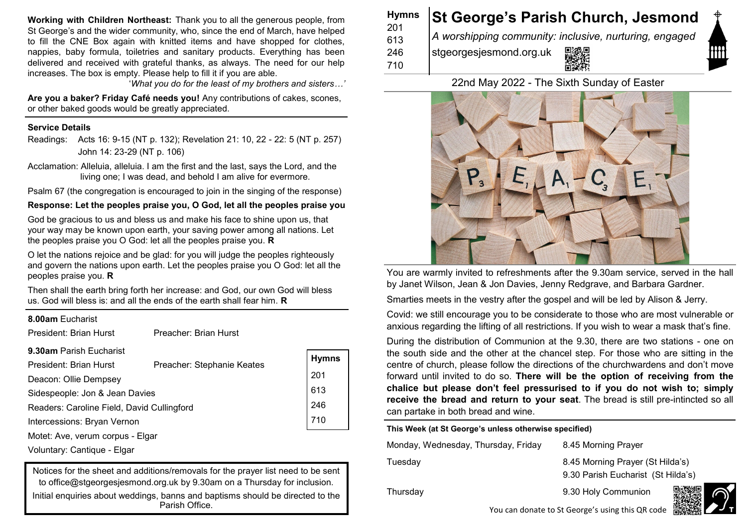**Working with Children Northeast:** Thank you to all the generous people, from St George's and the wider community, who, since the end of March, have helped to fill the CNE Box again with knitted items and have shopped for clothes, nappies, baby formula, toiletries and sanitary products. Everything has been delivered and received with grateful thanks, as always. The need for our help increases. The box is empty. Please help to fill it if you are able.

'*What you do for the least of my brothers and sisters…'* 

**Are you a baker? Friday Café needs you!** Any contributions of cakes, scones, or other baked goods would be greatly appreciated.

### **Service Details**

Readings: Acts 16: 9-15 (NT p. 132); Revelation 21: 10, 22 - 22: 5 (NT p. 257) John 14: 23-29 (NT p. 106)

Acclamation: Alleluia, alleluia. I am the first and the last, says the Lord, and the living one; I was dead, and behold I am alive for evermore.

Psalm 67 (the congregation is encouraged to join in the singing of the response)

**Response: Let the peoples praise you, O God, let all the peoples praise you**

God be gracious to us and bless us and make his face to shine upon us, that your way may be known upon earth, your saving power among all nations. Let the peoples praise you O God: let all the peoples praise you. **R**

O let the nations rejoice and be glad: for you will judge the peoples righteously and govern the nations upon earth. Let the peoples praise you O God: let all the peoples praise you. **R**

Then shall the earth bring forth her increase: and God, our own God will bless us. God will bless is: and all the ends of the earth shall fear him. **R**

| 8.00am Eucharist                           |                            |              |
|--------------------------------------------|----------------------------|--------------|
| President: Brian Hurst                     | Preacher: Brian Hurst      |              |
| 9.30am Parish Eucharist                    |                            |              |
| President: Brian Hurst                     | Preacher: Stephanie Keates | <b>Hymns</b> |
| Deacon: Ollie Dempsey                      |                            | 201          |
| Sidespeople: Jon & Jean Davies             |                            | 613          |
| Readers: Caroline Field, David Cullingford |                            | 246          |
| Intercessions: Bryan Vernon                |                            | 710          |
| Motet: Ave, verum corpus - Elgar           |                            |              |
| Voluntary: Cantique - Elgar                |                            |              |

Notices for the sheet and additions/removals for the prayer list need to be sent to office@stgeorgesiesmond.org.uk by 9.30am on a Thursday for inclusion. Initial enquiries about weddings, banns and baptisms should be directed to the Parish Office.

| <b>Hymns</b><br>201 | <b>St George's Parish Church, Jesmond</b>              |
|---------------------|--------------------------------------------------------|
| 613                 | A worshipping community: inclusive, nurturing, engaged |
| 246                 | 回線回<br>stgeorgesjesmond.org.uk                         |
| 710                 |                                                        |

# 22nd May 2022 - The Sixth Sunday of Easter



You are warmly invited to refreshments after the 9.30am service, served in the hall by Janet Wilson, Jean & Jon Davies, Jenny Redgrave, and Barbara Gardner.

Smarties meets in the vestry after the gospel and will be led by Alison & Jerry.

Covid: we still encourage you to be considerate to those who are most vulnerable or anxious regarding the lifting of all restrictions. If you wish to wear a mask that's fine.

During the distribution of Communion at the 9.30, there are two stations - one on the south side and the other at the chancel step. For those who are sitting in the centre of church, please follow the directions of the churchwardens and don't move forward until invited to do so. **There will be the option of receiving from the chalice but please don't feel pressurised to if you do not wish to; simply receive the bread and return to your seat**. The bread is still pre-intincted so all can partake in both bread and wine.

**This Week (at St George's unless otherwise specified)**

Monday, Wednesday, Thursday, Friday 8.45 Morning Prayer

Tuesday 8.45 Morning Prayer (St Hilda's) 9.30 Parish Eucharist (St Hilda's)

Thursday 9.30 Holy Communion



You can donate to St George's using this QR code